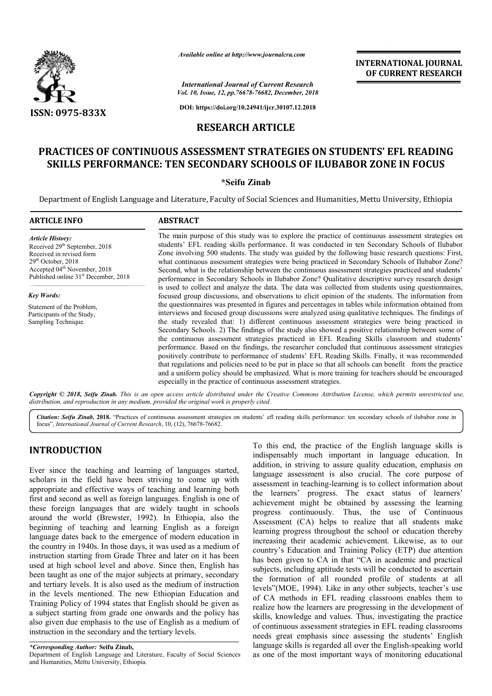

*Available online at http://www.journalcra.com*

*Vol. 10, Issue, 12, pp.76678-76682, December, 2018 International Journal of Current Research*

**DOI: https://doi.org/10.24941/ijcr.30107.12.2018**

## **RESEARCH ARTICLE**

# **PRACTICES OF CONTINUOUS ASSESSMENT STRATEGIES ON STUDENTS' EFL READING**  RACTICES OF CONTINUOUS ASSESSMENT STRATEGIES ON STUDENTS' EFL READING<br>SKILLS PERFORMANCE: TEN SECONDARY SCHOOLS OF ILUBABOR ZONE IN FOCUS

### **\*Seifu Zinab**

Department of English Language and Literature, Faculty of Social Sciences and Humanities, Mettu University, Ethiopia

| <b>ARTICLE INFO</b>                                                                                                                                                                                                      | <b>ABSTRACT</b>                                                                                                                                                                                                                                                                                                                                                                                                                                                                                                                                                                                                                                                                                                                                                                                                                                                                                                                                                                                                       |  |  |  |  |  |  |
|--------------------------------------------------------------------------------------------------------------------------------------------------------------------------------------------------------------------------|-----------------------------------------------------------------------------------------------------------------------------------------------------------------------------------------------------------------------------------------------------------------------------------------------------------------------------------------------------------------------------------------------------------------------------------------------------------------------------------------------------------------------------------------------------------------------------------------------------------------------------------------------------------------------------------------------------------------------------------------------------------------------------------------------------------------------------------------------------------------------------------------------------------------------------------------------------------------------------------------------------------------------|--|--|--|--|--|--|
| <b>Article History:</b><br>Received 29 <sup>th</sup> September, 2018<br>Received in revised form<br>$29th$ October, 2018<br>Accepted 04 <sup>th</sup> November, 2018<br>Published online 31 <sup>st</sup> December, 2018 | The main purpose of this study was to explore the practice of continuous assessment strategies on<br>students' EFL reading skills performance. It was conducted in ten Secondary Schools of Ilubabor<br>Zone involving 500 students. The study was guided by the following basic research questions: First,<br>what continuous assessment strategies were being practiced in Secondary Schools of Ilubabor Zone?<br>Second, what is the relationship between the continuous assessment strategies practiced and students'<br>performance in Secondary Schools in Ilubabor Zone? Qualitative descriptive survey research design                                                                                                                                                                                                                                                                                                                                                                                        |  |  |  |  |  |  |
| <b>Key Words:</b>                                                                                                                                                                                                        | is used to collect and analyze the data. The data was collected from students using questionnaires,<br>focused group discussions, and observations to elicit opinion of the students. The information from                                                                                                                                                                                                                                                                                                                                                                                                                                                                                                                                                                                                                                                                                                                                                                                                            |  |  |  |  |  |  |
| Statement of the Problem,<br>Participants of the Study,<br>Sampling Technique.                                                                                                                                           | the questionnaires was presented in figures and percentages in tables while information obtained from<br>interviews and focused group discussions were analyzed using qualitative techniques. The findings of<br>the study revealed that: 1) different continuous assessment strategies were being practiced in<br>Secondary Schools. 2) The findings of the study also showed a positive relationship between some of<br>the continuous assessment strategies practiced in EFL Reading Skills classroom and students'<br>performance. Based on the findings, the researcher concluded that continuous assessment strategies<br>positively contribute to performance of students' EFL Reading Skills. Finally, it was recommended<br>that regulations and policies need to be put in place so that all schools can benefit from the practice<br>and a uniform policy should be emphasized. What is more training for teachers should be encouraged<br>especially in the practice of continuous assessment strategies. |  |  |  |  |  |  |

Copyright © 2018, Seifu Zinab. This is an open access article distributed under the Creative Commons Attribution License, which permits unrestricted use, *distribution, and reproduction in any medium, provided the original work is properly cited.*

Citation: Seifu Zinab, 2018. "Practices of continuous assessment strategies on students' efl reading skills performance: ten secondary schools of ilubabor zone in focus", International Journal of Current Research, 10, (12), 76678-76682.

## **INTRODUCTION**

Ever since the teaching and learning of languages started, scholars in the field have been striving to come up with appropriate and effective ways of teaching and learning both first and second as well as foreign languages. English is one of these foreign languages that are widely taught in schools around the world (Brewster, 1992). In Ethiopia, also the beginning of teaching and learning English as a foreign language dates back to the emergence of modern education in the country in 1940s. In those days, it was used as a medium of instruction starting from Grade Three and later on it has been used at high school level and above. Since then, English has been taught as one of the major subjects at primary, secondary and tertiary levels. It is also used as the medium of instruction in the levels mentioned. The new Ethiopian Education and Training Policy of 1994 states that English should be given as a subject starting from grade one onwards and the policy has also given due emphasis to the use of English as a medium of instruction in the secondary and the tertiary levels.

Department of English Language and Literature, Faculty of Social Sciences and Humanities, Mettu University, Ethiopia.

To this end, the practice of the English language skills is indispensably much important in language education. In addition, in striving to assure quality education, emphasis on language assessment is also crucial. The core purpose of assessment in teaching-learning is to collect information about the learners' progress. The exact status of learners' achievement might be obtained by assessing the learning progress continuously. Thus, the use of Continuous Assessment (CA) helps to realize that all students make learning progress throughout the school or education thereby increasing their academic achievement. Likewise, as to our country's Education and Training Policy (ETP) due attention has been given to CA in that "CA in academic and practical subjects, including aptitude tests will be conducted to ascertain the formation of all rounded profile of students at all levels"(MOE, 1994). Like in any other subjects, teacher's use of CA methods in EFL reading classroom enables them to realize how the learners are progressing in the development of skills, knowledge and values. Thus, investigating the practice of continuous assessment strategies in EFL reading classrooms needs great emphasis since assessing the students' English levels"(MOE, 1994). Like in any other subjects, teacher's use of CA methods in EFL reading classroom enables them to realize how the learners are progressing in the development of skills, knowledge and values. Thus, invest as one of the most important ways of monitoring educational much important in language education. In<br>iving to assure quality education, emphasis on<br>sment is also crucial. The core purpose of<br>eaching-learning is to collect information about the learners' progress. The exact status of learners' achievement might be obtained by assessing the learning progress continuously. Thus, the use of Continuous Assessment (CA) helps to realize that all students make learn **EXERCIST TOWALLY TOWALLY TOWALLY (THE SCALE TOWALLY TRENEAT TO THE CONDUCT TO THE CONDUCT (THE CONDUCTS) (THE CONDUCTS) (THE CONDUCTS) (THE CONDUCTS) (THE CONDUCTS) (THE CONDUCTS) (THE CONDUCTS) (THE CONDUCTS) (THE CONDUC** 

**INTERNATIONAL JOURNAL OF CURRENT RESEARCH**

*<sup>\*</sup>Corresponding Author:* **Seifu Zinab,**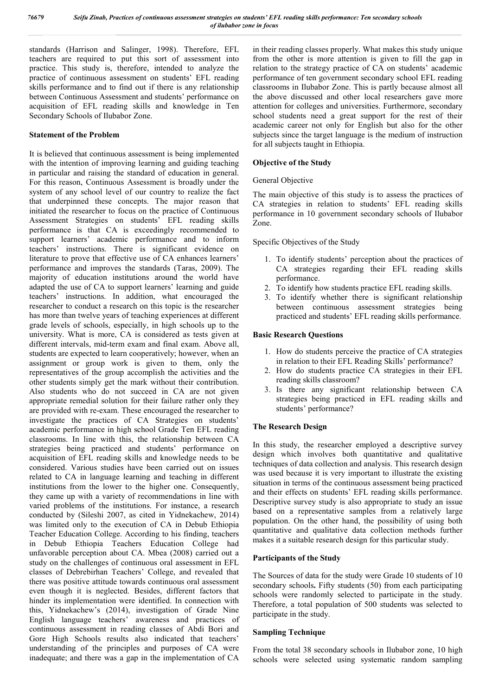standards (Harrison and Salinger, 1998). Therefore, EFL teachers are required to put this sort of assessment into practice. This study is, therefore, intended to analyze the practice of continuous assessment on students' EFL reading skills performance and to find out if there is any relationship between Continuous Assessment and students' performance on acquisition of EFL reading skills and knowledge in Ten Secondary Schools of Ilubabor Zone.

## **Statement of the Problem**

It is believed that continuous assessment is being implemented with the intention of improving learning and guiding teaching in particular and raising the standard of education in general. For this reason, Continuous Assessment is broadly under the system of any school level of our country to realize the fact that underpinned these concepts. The major reason that initiated the researcher to focus on the practice of Continuous Assessment Strategies on students' EFL reading skills performance is that CA is exceedingly recommended to support learners' academic performance and to inform teachers' instructions. There is significant evidence on literature to prove that effective use of CA enhances learners' performance and improves the standards (Taras, 2009). The majority of education institutions around the world have adapted the use of CA to support learners' learning and guide teachers' instructions. In addition, what encouraged the researcher to conduct a research on this topic is the researcher has more than twelve years of teaching experiences at different grade levels of schools, especially, in high schools up to the university. What is more, CA is considered as tests given at different intervals, mid-term exam and final exam. Above all, students are expected to learn cooperatively; however, when an assignment or group work is given to them, only the representatives of the group accomplish the activities and the other students simply get the mark without their contribution. Also students who do not succeed in CA are not given appropriate remedial solution for their failure rather only they are provided with re-exam. These encouraged the researcher to investigate the practices of CA Strategies on students' academic performance in high school Grade Ten EFL reading classrooms. In line with this, the relationship between CA strategies being practiced and students' performance on acquisition of EFL reading skills and knowledge needs to be considered. Various studies have been carried out on issues related to CA in language learning and teaching in different institutions from the lower to the higher one. Consequently, they came up with a variety of recommendations in line with varied problems of the institutions. For instance, a research conducted by (Sileshi 2007, as cited in Yidnekachew, 2014) was limited only to the execution of CA in Debub Ethiopia Teacher Education College. According to his finding, teachers in Debub Ethiopia Teachers Education College had unfavorable perception about CA. Mbea (2008) carried out a study on the challenges of continuous oral assessment in EFL classes of Debrebirhan Teachers' College, and revealed that there was positive attitude towards continuous oral assessment even though it is neglected. Besides, different factors that hinder its implementation were identified. In connection with this, Yidnekachew's (2014), investigation of Grade Nine English language teachers' awareness and practices of continuous assessment in reading classes of Abdi Bori and Gore High Schools results also indicated that teachers' understanding of the principles and purposes of CA were inadequate; and there was a gap in the implementation of CA

in their reading classes properly. What makes this study unique from the other is more attention is given to fill the gap in relation to the strategy practice of CA on students' academic performance of ten government secondary school EFL reading classrooms in Ilubabor Zone. This is partly because almost all the above discussed and other local researchers gave more attention for colleges and universities. Furthermore, secondary school students need a great support for the rest of their academic career not only for English but also for the other subjects since the target language is the medium of instruction for all subjects taught in Ethiopia.

## **Objective of the Study**

## General Objective

The main objective of this study is to assess the practices of CA strategies in relation to students' EFL reading skills performance in 10 government secondary schools of Ilubabor Zone.

Specific Objectives of the Study

- 1. To identify students' perception about the practices of CA strategies regarding their EFL reading skills performance.
- 2. To identify how students practice EFL reading skills.
- 3. To identify whether there is significant relationship between continuous assessment strategies being practiced and students' EFL reading skills performance.

## **Basic Research Questions**

- 1. How do students perceive the practice of CA strategies in relation to their EFL Reading Skills' performance?
- 2. How do students practice CA strategies in their EFL reading skills classroom?
- 3. Is there any significant relationship between CA strategies being practiced in EFL reading skills and students' performance?

## **The Research Design**

In this study, the researcher employed a descriptive survey design which involves both quantitative and qualitative techniques of data collection and analysis. This research design was used because it is very important to illustrate the existing situation in terms of the continuous assessment being practiced and their effects on students' EFL reading skills performance. Descriptive survey study is also appropriate to study an issue based on a representative samples from a relatively large population. On the other hand, the possibility of using both quantitative and qualitative data collection methods further makes it a suitable research design for this particular study.

## **Participants of the Study**

The Sources of data for the study were Grade 10 students of 10 secondary schools**.** Fifty students (50) from each participating schools were randomly selected to participate in the study. Therefore, a total population of 500 students was selected to participate in the study.

## **Sampling Technique**

From the total 38 secondary schools in Ilubabor zone, 10 high schools were selected using systematic random sampling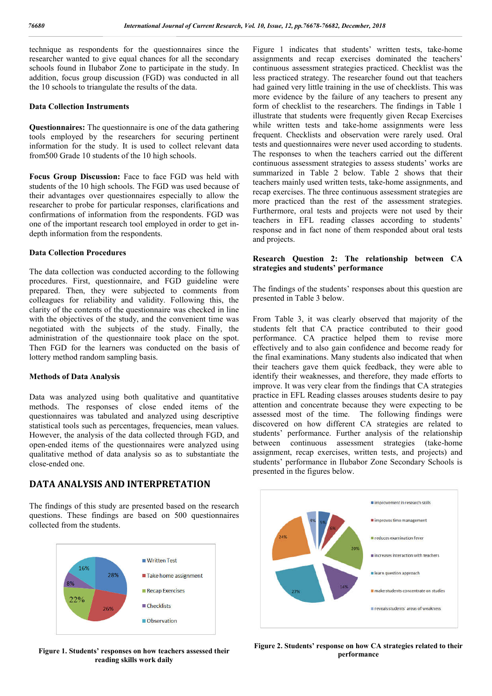technique as respondents for the questionnaires since the researcher wanted to give equal chances for all the secondary schools found in Ilubabor Zone to participate in the study. In addition, focus group discussion (FGD) was conducted in all the 10 schools to triangulate the results of the data.

#### **Data Collection Instruments**

**Questionnaires:** The questionnaire is one of the data gathering tools employed by the researchers for securing pertinent information for the study. It is used to collect relevant data from500 Grade 10 students of the 10 high schools.

**Focus Group Discussion:** Face to face FGD was held with students of the 10 high schools. The FGD was used because of their advantages over questionnaires especially to allow the researcher to probe for particular responses, clarifications and confirmations of information from the respondents. FGD was one of the important research tool employed in order to get indepth information from the respondents.

#### **Data Collection Procedures**

The data collection was conducted according to the following procedures. First, questionnaire, and FGD guideline were prepared. Then, they were subjected to comments from colleagues for reliability and validity. Following this, the clarity of the contents of the questionnaire was checked in line with the objectives of the study, and the convenient time was negotiated with the subjects of the study. Finally, the administration of the questionnaire took place on the spot. Then FGD for the learners was conducted on the basis of lottery method random sampling basis.

#### **Methods of Data Analysis**

Data was analyzed using both qualitative and quantitative methods. The responses of close ended items of the questionnaires was tabulated and analyzed using descriptive statistical tools such as percentages, frequencies, mean values. However, the analysis of the data collected through FGD, and open-ended items of the questionnaires were analyzed using qualitative method of data analysis so as to substantiate the close-ended one.

## **DATA ANALYSIS AND INTERPRETATION**

The findings of this study are presented based on the research questions. These findings are based on 500 questionnaires collected from the students.



**Figure 1. Students' responses on how teachers assessed their reading skills work daily**

Figure 1 indicates that students' written tests, take-home assignments and recap exercises dominated the teachers' continuous assessment strategies practiced. Checklist was the less practiced strategy. The researcher found out that teachers had gained very little training in the use of checklists. This was more evidence by the failure of any teachers to present any form of checklist to the researchers. The findings in Table 1 illustrate that students were frequently given Recap Exercises while written tests and take-home assignments were less frequent. Checklists and observation were rarely used. Oral tests and questionnaires were never used according to students. The responses to when the teachers carried out the different continuous assessment strategies to assess students' works are summarized in Table 2 below. Table 2 shows that their teachers mainly used written tests, take-home assignments, and recap exercises. The three continuous assessment strategies are more practiced than the rest of the assessment strategies. Furthermore, oral tests and projects were not used by their teachers in EFL reading classes according to students' response and in fact none of them responded about oral tests and projects.

### **Research Question 2: The relationship between CA strategies and students' performance**

The findings of the students' responses about this question are presented in Table 3 below.

From Table 3, it was clearly observed that majority of the students felt that CA practice contributed to their good performance. CA practice helped them to revise more effectively and to also gain confidence and become ready for the final examinations. Many students also indicated that when their teachers gave them quick feedback, they were able to identify their weaknesses, and therefore, they made efforts to improve. It was very clear from the findings that CA strategies practice in EFL Reading classes arouses students desire to pay attention and concentrate because they were expecting to be assessed most of the time. The following findings were discovered on how different CA strategies are related to students' performance. Further analysis of the relationship between continuous assessment strategies (take-home assignment, recap exercises, written tests, and projects) and students' performance in Ilubabor Zone Secondary Schools is presented in the figures below.



**Figure 2. Students' response on how CA strategies related to their performance**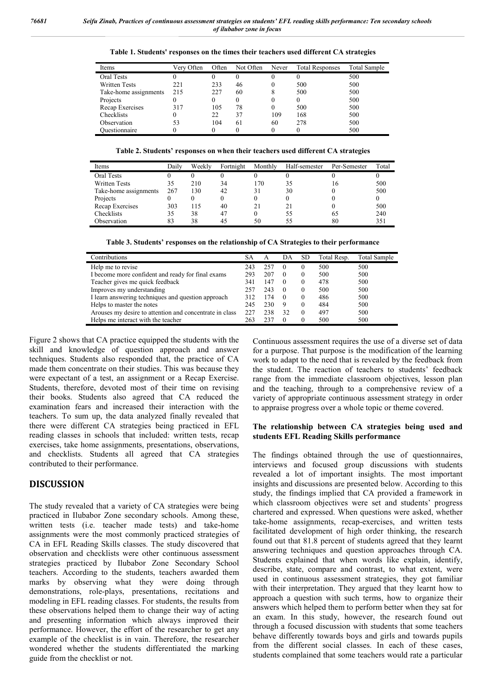| Items                 | Verv Often | Often    | Not Often | Never | <b>Total Responses</b> | <b>Total Sample</b> |
|-----------------------|------------|----------|-----------|-------|------------------------|---------------------|
| <b>Oral Tests</b>     |            | 0        |           |       |                        | 500                 |
| <b>Written Tests</b>  | 221        | 233      | 46        |       | 500                    | 500                 |
| Take-home assignments | 215        | 227      | 60        |       | 500                    | 500                 |
| Projects              |            | $\theta$ | $^{(1)}$  |       | $_{0}$                 | 500                 |
| Recap Exercises       | 317        | 105      | 78        | 0     | 500                    | 500                 |
| Checklists            | 0          | 22       | 37        | 109   | 168                    | 500                 |
| Observation           | 53         | 104      | 61        | 60    | 278                    | 500                 |
| Ouestionnaire         |            |          |           |       |                        | 500                 |

**Table 1. Students' responses on the times their teachers used different CA strategies**

**Table 2. Students' responses on when their teachers used different CA strategies**

| Items                 | Dailv | Weekly | Fortnight | Monthly | Half-semester | Per-Semester | Total |
|-----------------------|-------|--------|-----------|---------|---------------|--------------|-------|
| <b>Oral Tests</b>     |       |        |           |         |               |              |       |
| <b>Written Tests</b>  | 35    | 210    | 34        | 170     | 35            | 16           | 500   |
| Take-home assignments | 267   | 130    | 42        | 31      | 30            |              | 500   |
| Projects              |       |        |           |         | $_{0}$        |              |       |
| Recap Exercises       | 303   | 115    | 40        | 21      | 21            |              | 500   |
| Checklists            | 35    | 38     | 47        |         | 55            | 65           | 240   |
| Observation           | 83    | 38     | 45        | 50      | 55            | 80           | 351   |

**Table 3. Students' responses on the relationship of CA Strategies to their performance**

| Contributions                                           | SА  |     | DА       | <b>SD</b> | Total Resp. | <b>Total Sample</b> |
|---------------------------------------------------------|-----|-----|----------|-----------|-------------|---------------------|
| Help me to revise                                       | 243 | 257 |          | $\theta$  | 500         | 500                 |
| I become more confident and ready for final exams       | 293 | 207 |          | $\Omega$  | 500         | 500                 |
| Teacher gives me quick feedback                         | 341 | 147 | $\left($ | $\theta$  | 478         | 500                 |
| Improves my understanding                               | 257 | 243 | $\Omega$ | $\theta$  | 500         | 500                 |
| I learn answering techniques and question approach      | 312 | 174 | $\Omega$ | $\theta$  | 486         | 500                 |
| Helps to master the notes                               | 245 | 230 | 9        | $\theta$  | 484         | 500                 |
| Arouses my desire to attention and concentrate in class | 227 | 238 | 32       | $\theta$  | 497         | 500                 |
| Helps me interact with the teacher                      |     | 237 |          | $\theta$  | 500         | 500                 |

Figure 2 shows that CA practice equipped the students with the skill and knowledge of question approach and answer techniques. Students also responded that, the practice of CA made them concentrate on their studies. This was because they were expectant of a test, an assignment or a Recap Exercise. Students, therefore, devoted most of their time on revising their books. Students also agreed that CA reduced the examination fears and increased their interaction with the teachers. To sum up, the data analyzed finally revealed that there were different CA strategies being practiced in EFL reading classes in schools that included: written tests, recap exercises, take home assignments, presentations, observations, and checklists. Students all agreed that CA strategies contributed to their performance.

## **DISCUSSION**

The study revealed that a variety of CA strategies were being practiced in Ilubabor Zone secondary schools. Among these, written tests (i.e. teacher made tests) and take-home assignments were the most commonly practiced strategies of CA in EFL Reading Skills classes. The study discovered that observation and checklists were other continuous assessment strategies practiced by Ilubabor Zone Secondary School teachers. According to the students, teachers awarded them marks by observing what they were doing through demonstrations, role-plays, presentations, recitations and modeling in EFL reading classes. For students, the results from these observations helped them to change their way of acting and presenting information which always improved their performance. However, the effort of the researcher to get any example of the checklist is in vain. Therefore, the researcher wondered whether the students differentiated the marking guide from the checklist or not.

Continuous assessment requires the use of a diverse set of data for a purpose. That purpose is the modification of the learning work to adapt to the need that is revealed by the feedback from the student. The reaction of teachers to students' feedback range from the immediate classroom objectives, lesson plan and the teaching, through to a comprehensive review of a variety of appropriate continuous assessment strategy in order to appraise progress over a whole topic or theme covered.

### **The relationship between CA strategies being used and students EFL Reading Skills performance**

The findings obtained through the use of questionnaires, interviews and focused group discussions with students revealed a lot of important insights. The most important insights and discussions are presented below. According to this study, the findings implied that CA provided a framework in which classroom objectives were set and students' progress chartered and expressed. When questions were asked, whether take-home assignments, recap-exercises, and written tests facilitated development of high order thinking, the research found out that 81.8 percent of students agreed that they learnt answering techniques and question approaches through CA. Students explained that when words like explain, identify, describe, state, compare and contrast, to what extent, were used in continuous assessment strategies, they got familiar with their interpretation. They argued that they learnt how to approach a question with such terms, how to organize their answers which helped them to perform better when they sat for an exam. In this study, however, the research found out through a focused discussion with students that some teachers behave differently towards boys and girls and towards pupils from the different social classes. In each of these cases, students complained that some teachers would rate a particular